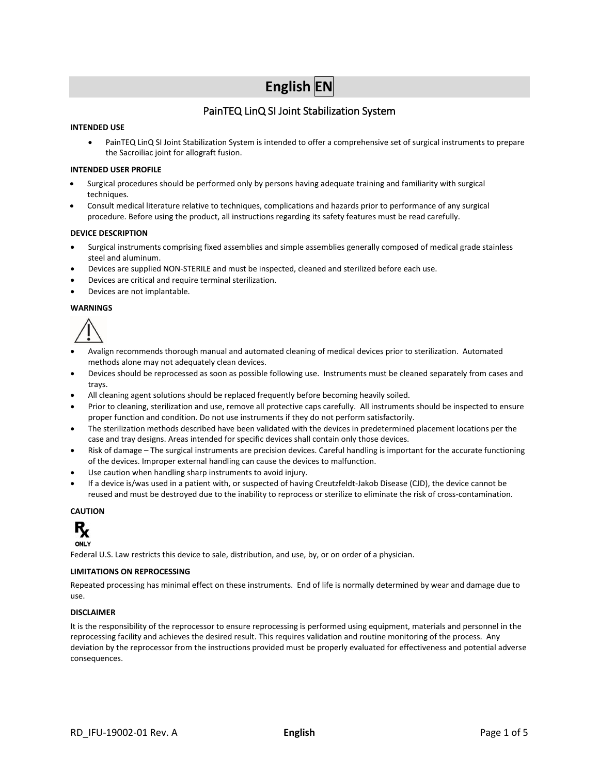# **English EN**

# PainTEQ LinQ SI Joint Stabilization System

#### **INTENDED USE**

• PainTEQ LinQ SI Joint Stabilization System is intended to offer a comprehensive set of surgical instruments to prepare the Sacroiliac joint for allograft fusion.

#### **INTENDED USER PROFILE**

- Surgical procedures should be performed only by persons having adequate training and familiarity with surgical techniques.
- Consult medical literature relative to techniques, complications and hazards prior to performance of any surgical procedure. Before using the product, all instructions regarding its safety features must be read carefully.

#### **DEVICE DESCRIPTION**

- Surgical instruments comprising fixed assemblies and simple assemblies generally composed of medical grade stainless steel and aluminum.
- Devices are supplied NON-STERILE and must be inspected, cleaned and sterilized before each use.
- Devices are critical and require terminal sterilization.
- Devices are not implantable.

#### **WARNINGS**



- Avalign recommends thorough manual and automated cleaning of medical devices prior to sterilization. Automated methods alone may not adequately clean devices.
- Devices should be reprocessed as soon as possible following use. Instruments must be cleaned separately from cases and trays.
- All cleaning agent solutions should be replaced frequently before becoming heavily soiled.
- Prior to cleaning, sterilization and use, remove all protective caps carefully. All instruments should be inspected to ensure proper function and condition. Do not use instruments if they do not perform satisfactorily.
- The sterilization methods described have been validated with the devices in predetermined placement locations per the case and tray designs. Areas intended for specific devices shall contain only those devices.
- Risk of damage The surgical instruments are precision devices. Careful handling is important for the accurate functioning of the devices. Improper external handling can cause the devices to malfunction.
- Use caution when handling sharp instruments to avoid injury.
- If a device is/was used in a patient with, or suspected of having Creutzfeldt-Jakob Disease (CJD), the device cannot be reused and must be destroyed due to the inability to reprocess or sterilize to eliminate the risk of cross-contamination.

#### **CAUTION**



Federal U.S. Law restricts this device to sale, distribution, and use, by, or on order of a physician.

#### **LIMITATIONS ON REPROCESSING**

Repeated processing has minimal effect on these instruments. End of life is normally determined by wear and damage due to use.

#### **DISCLAIMER**

It is the responsibility of the reprocessor to ensure reprocessing is performed using equipment, materials and personnel in the reprocessing facility and achieves the desired result. This requires validation and routine monitoring of the process. Any deviation by the reprocessor from the instructions provided must be properly evaluated for effectiveness and potential adverse consequences.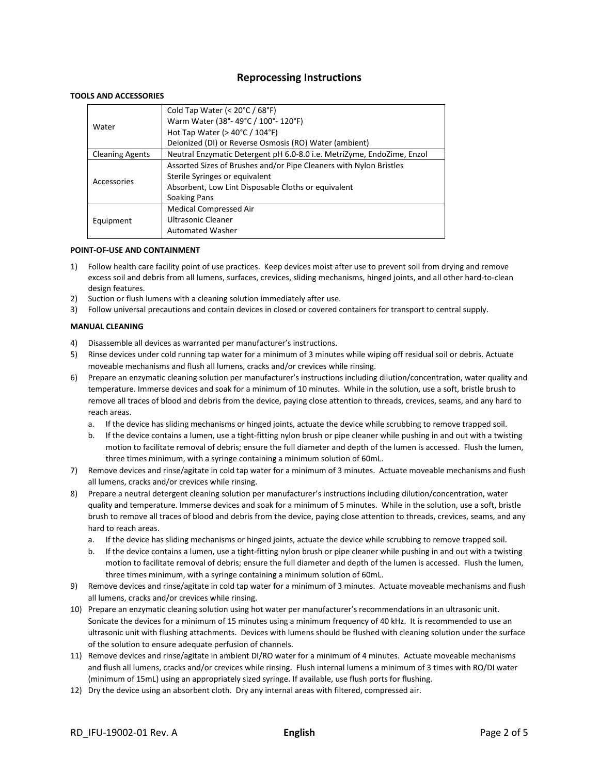## **Reprocessing Instructions**

#### **TOOLS AND ACCESSORIES**

| Water                  | Cold Tap Water (< $20^{\circ}$ C / 68 $^{\circ}$ F)                    |
|------------------------|------------------------------------------------------------------------|
|                        | Warm Water (38°-49°C / 100°-120°F)                                     |
|                        | Hot Tap Water ( $>$ 40 $\degree$ C / 104 $\degree$ F)                  |
|                        | Deionized (DI) or Reverse Osmosis (RO) Water (ambient)                 |
| <b>Cleaning Agents</b> | Neutral Enzymatic Detergent pH 6.0-8.0 i.e. MetriZyme, EndoZime, Enzol |
|                        | Assorted Sizes of Brushes and/or Pipe Cleaners with Nylon Bristles     |
|                        | Sterile Syringes or equivalent                                         |
| Accessories            | Absorbent, Low Lint Disposable Cloths or equivalent                    |
|                        | Soaking Pans                                                           |
| Equipment              | Medical Compressed Air                                                 |
|                        | Ultrasonic Cleaner                                                     |
|                        | <b>Automated Washer</b>                                                |
|                        |                                                                        |

#### **POINT-OF-USE AND CONTAINMENT**

- 1) Follow health care facility point of use practices. Keep devices moist after use to prevent soil from drying and remove excess soil and debris from all lumens, surfaces, crevices, sliding mechanisms, hinged joints, and all other hard-to-clean design features.
- 2) Suction or flush lumens with a cleaning solution immediately after use.
- 3) Follow universal precautions and contain devices in closed or covered containers for transport to central supply.

#### **MANUAL CLEANING**

- 4) Disassemble all devices as warranted per manufacturer's instructions.
- 5) Rinse devices under cold running tap water for a minimum of 3 minutes while wiping off residual soil or debris. Actuate moveable mechanisms and flush all lumens, cracks and/or crevices while rinsing.
- 6) Prepare an enzymatic cleaning solution per manufacturer's instructions including dilution/concentration, water quality and temperature. Immerse devices and soak for a minimum of 10 minutes. While in the solution, use a soft, bristle brush to remove all traces of blood and debris from the device, paying close attention to threads, crevices, seams, and any hard to reach areas.
	- a. If the device has sliding mechanisms or hinged joints, actuate the device while scrubbing to remove trapped soil.
	- b. If the device contains a lumen, use a tight-fitting nylon brush or pipe cleaner while pushing in and out with a twisting motion to facilitate removal of debris; ensure the full diameter and depth of the lumen is accessed. Flush the lumen, three times minimum, with a syringe containing a minimum solution of 60mL.
- 7) Remove devices and rinse/agitate in cold tap water for a minimum of 3 minutes. Actuate moveable mechanisms and flush all lumens, cracks and/or crevices while rinsing.
- 8) Prepare a neutral detergent cleaning solution per manufacturer's instructions including dilution/concentration, water quality and temperature. Immerse devices and soak for a minimum of 5 minutes. While in the solution, use a soft, bristle brush to remove all traces of blood and debris from the device, paying close attention to threads, crevices, seams, and any hard to reach areas.
	- a. If the device has sliding mechanisms or hinged joints, actuate the device while scrubbing to remove trapped soil.
	- b. If the device contains a lumen, use a tight-fitting nylon brush or pipe cleaner while pushing in and out with a twisting motion to facilitate removal of debris; ensure the full diameter and depth of the lumen is accessed. Flush the lumen, three times minimum, with a syringe containing a minimum solution of 60mL.
- 9) Remove devices and rinse/agitate in cold tap water for a minimum of 3 minutes. Actuate moveable mechanisms and flush all lumens, cracks and/or crevices while rinsing.
- 10) Prepare an enzymatic cleaning solution using hot water per manufacturer's recommendations in an ultrasonic unit. Sonicate the devices for a minimum of 15 minutes using a minimum frequency of 40 kHz. It is recommended to use an ultrasonic unit with flushing attachments. Devices with lumens should be flushed with cleaning solution under the surface of the solution to ensure adequate perfusion of channels.
- 11) Remove devices and rinse/agitate in ambient DI/RO water for a minimum of 4 minutes. Actuate moveable mechanisms and flush all lumens, cracks and/or crevices while rinsing. Flush internal lumens a minimum of 3 times with RO/DI water (minimum of 15mL) using an appropriately sized syringe. If available, use flush ports for flushing.
- 12) Dry the device using an absorbent cloth. Dry any internal areas with filtered, compressed air.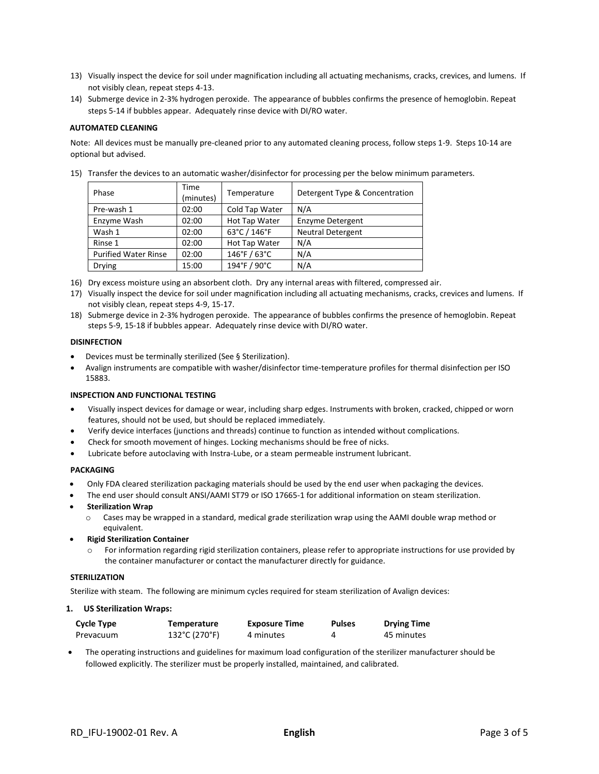- 13) Visually inspect the device for soil under magnification including all actuating mechanisms, cracks, crevices, and lumens. If not visibly clean, repeat steps 4-13.
- 14) Submerge device in 2-3% hydrogen peroxide. The appearance of bubbles confirms the presence of hemoglobin. Repeat steps 5-14 if bubbles appear. Adequately rinse device with DI/RO water.

#### **AUTOMATED CLEANING**

Note: All devices must be manually pre-cleaned prior to any automated cleaning process, follow steps 1-9. Steps 10-14 are optional but advised.

| Phase                       | <b>Time</b><br>(minutes) | Temperature    | Detergent Type & Concentration |
|-----------------------------|--------------------------|----------------|--------------------------------|
| Pre-wash 1                  | 02:00                    | Cold Tap Water | N/A                            |
| Enzyme Wash                 | 02:00                    | Hot Tap Water  | <b>Enzyme Detergent</b>        |
| Wash 1                      | 02:00                    | 63°C / 146°F   | <b>Neutral Detergent</b>       |
| Rinse 1                     | 02:00                    | Hot Tap Water  | N/A                            |
| <b>Purified Water Rinse</b> | 02:00                    | 146°F / 63°C   | N/A                            |
| <b>Drying</b>               | 15:00                    | 194°F / 90°C   | N/A                            |

15) Transfer the devices to an automatic washer/disinfector for processing per the below minimum parameters.

- 16) Dry excess moisture using an absorbent cloth. Dry any internal areas with filtered, compressed air.
- 17) Visually inspect the device for soil under magnification including all actuating mechanisms, cracks, crevices and lumens. If not visibly clean, repeat steps 4-9, 15-17.
- 18) Submerge device in 2-3% hydrogen peroxide. The appearance of bubbles confirms the presence of hemoglobin. Repeat steps 5-9, 15-18 if bubbles appear. Adequately rinse device with DI/RO water.

#### **DISINFECTION**

- Devices must be terminally sterilized (See § Sterilization).
- Avalign instruments are compatible with washer/disinfector time-temperature profiles for thermal disinfection per ISO 15883.

#### **INSPECTION AND FUNCTIONAL TESTING**

- Visually inspect devices for damage or wear, including sharp edges. Instruments with broken, cracked, chipped or worn features, should not be used, but should be replaced immediately.
- Verify device interfaces (junctions and threads) continue to function as intended without complications.
- Check for smooth movement of hinges. Locking mechanisms should be free of nicks.
- Lubricate before autoclaving with Instra-Lube, or a steam permeable instrument lubricant.

#### **PACKAGING**

- Only FDA cleared sterilization packaging materials should be used by the end user when packaging the devices.
- The end user should consult ANSI/AAMI ST79 or ISO 17665-1 for additional information on steam sterilization.
- **Sterilization Wrap**
	- $\circ$  Cases may be wrapped in a standard, medical grade sterilization wrap using the AAMI double wrap method or equivalent.
- **Rigid Sterilization Container**
	- For information regarding rigid sterilization containers, please refer to appropriate instructions for use provided by the container manufacturer or contact the manufacturer directly for guidance.

#### **STERILIZATION**

Sterilize with steam. The following are minimum cycles required for steam sterilization of Avalign devices:

#### **1. US Sterilization Wraps:**

| <b>Cycle Type</b> | Temperature   | <b>Exposure Time</b> | <b>Pulses</b> | <b>Drying Time</b> |
|-------------------|---------------|----------------------|---------------|--------------------|
| Prevacuum         | 132°C (270°F) | 4 minutes            |               | 45 minutes         |

• The operating instructions and guidelines for maximum load configuration of the sterilizer manufacturer should be followed explicitly. The sterilizer must be properly installed, maintained, and calibrated.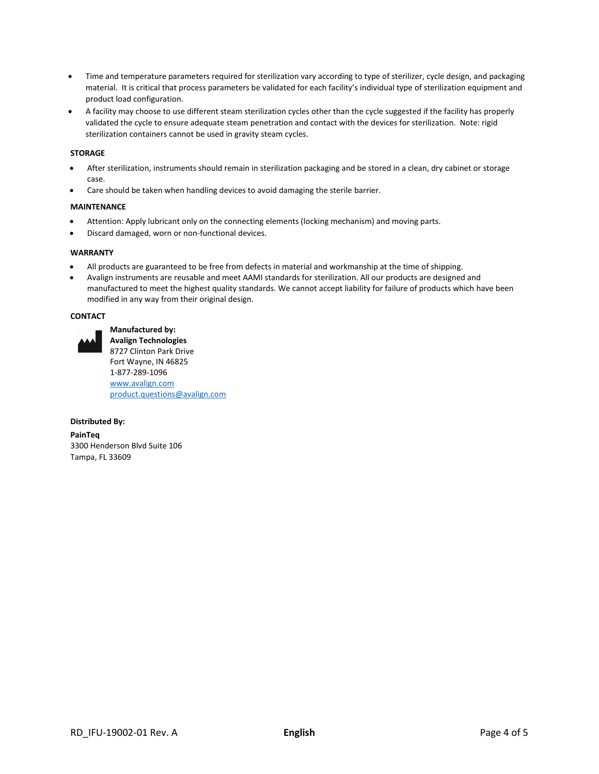- Time and temperature parameters required for sterilization vary according to type of sterilizer, cycle design, and packaging material. It is critical that process parameters be validated for each facility's individual type of sterilization equipment and product load configuration.
- A facility may choose to use different steam sterilization cycles other than the cycle suggested if the facility has properly validated the cycle to ensure adequate steam penetration and contact with the devices for sterilization. Note: rigid sterilization containers cannot be used in gravity steam cycles.

#### **STORAGE**

- After sterilization, instruments should remain in sterilization packaging and be stored in a clean, dry cabinet or storage case.
- Care should be taken when handling devices to avoid damaging the sterile barrier.

#### **MAINTENANCE**

- Attention: Apply lubricant only on the connecting elements (locking mechanism) and moving parts.
- Discard damaged, worn or non-functional devices.

#### **WARRANTY**

- All products are guaranteed to be free from defects in material and workmanship at the time of shipping.
- Avalign instruments are reusable and meet AAMI standards for sterilization. All our products are designed and manufactured to meet the highest quality standards. We cannot accept liability for failure of products which have been modified in any way from their original design.

#### **CONTACT**



**Manufactured by: Avalign Technologies** 8727 Clinton Park Drive Fort Wayne, IN 46825 1-877-289-1096 [www.avalign.com](http://www.avalign.com/) [product.questions@avalign.com](mailto:product.questions@avalign.com)

#### **Distributed By:**

**PainTeq** 3300 Henderson Blvd Suite 106 Tampa, FL 33609